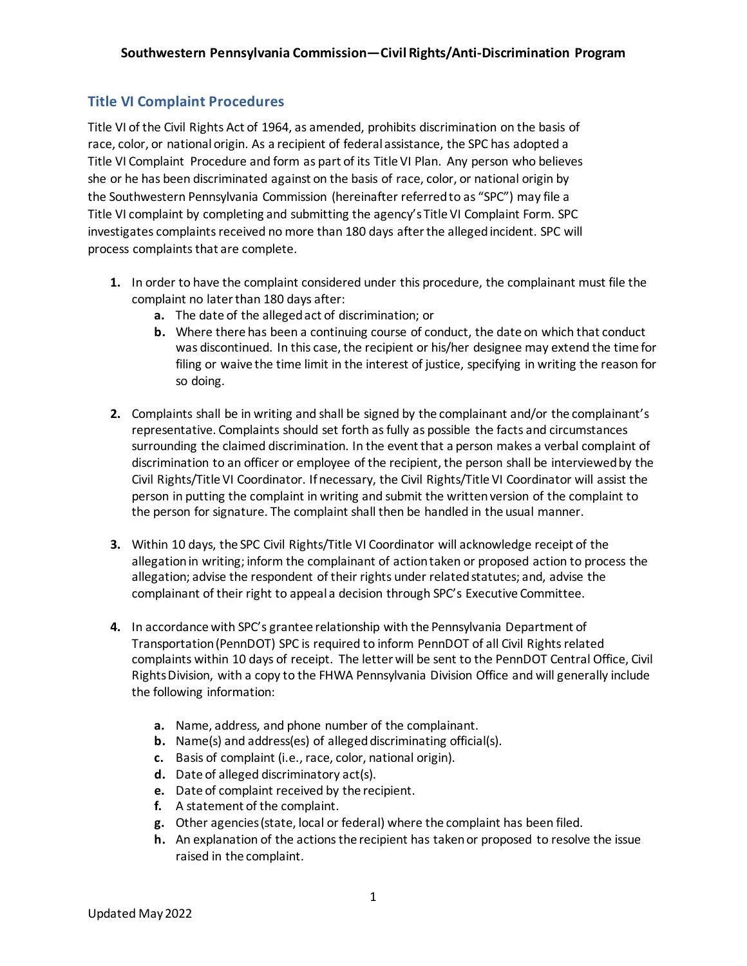## **Title VI Complaint Procedures**

Title VI of the Civil Rights Act of 1964, as amended, prohibits discrimination on the basis of race, color, or national origin. As a recipient of federal assistance, the SPC has adopted a Title VI Complaint Procedure and form as part of its Title VI Plan. Any person who believes she or he has been discriminated against on the basis of race, color, or national origin by the Southwestern Pennsylvania Commission (hereinafter referred to as "SPC") may file a Title VI complaint by completing and submitting the agency's Title VI Complaint Form. SPC investigates complaints received no more than 180 days after the alleged incident. SPC will process complaints that are complete.

- **1.** In order to have the complaint considered under this procedure, the complainant must file the complaint no later than 180 days after:
	- **a.** The date of the alleged act of discrimination; or
	- **b.** Where there has been a continuing course of conduct, the date on which that conduct was discontinued. In this case, the recipient or his/her designee may extend the time for filing or waive the time limit in the interest of justice, specifying in writing the reason for so doing.
- **2.** Complaints shall be in writing and shall be signed by the complainant and/or the complainant's representative. Complaints should set forth as fully as possible the facts and circumstances surrounding the claimed discrimination. In the event that a person makes a verbal complaint of discrimination to an officer or employee of the recipient, the person shall be interviewed by the Civil Rights/Title VI Coordinator. If necessary, the Civil Rights/Title VI Coordinator will assist the person in putting the complaint in writing and submit the written version of the complaint to the person for signature. The complaint shall then be handled in the usual manner.
- **3.** Within 10 days, the SPC Civil Rights/Title VI Coordinator will acknowledge receipt of the allegation in writing; inform the complainant of action taken or proposed action to process the allegation; advise the respondent of their rights under related statutes; and, advise the complainant of their right to appeal a decision through SPC's Executive Committee.
- **4.** In accordance with SPC's grantee relationship with the Pennsylvania Department of Transportation (PennDOT) SPC is required to inform PennDOT of all Civil Rights related complaints within 10 days of receipt. The letter will be sent to the PennDOT Central Office, Civil Rights Division, with a copy to the FHWA Pennsylvania Division Office and will generally include the following information:
	- **a.** Name, address, and phone number of the complainant.
	- **b.** Name(s) and address(es) of alleged discriminating official(s).
	- **c.** Basis of complaint (i.e., race, color, national origin).
	- **d.** Date of alleged discriminatory act(s).
	- **e.** Date of complaint received by the recipient.
	- **f.** A statement of the complaint.
	- **g.** Other agencies (state, local or federal) where the complaint has been filed.
	- **h.** An explanation of the actions the recipient has taken or proposed to resolve the issue raised in the complaint.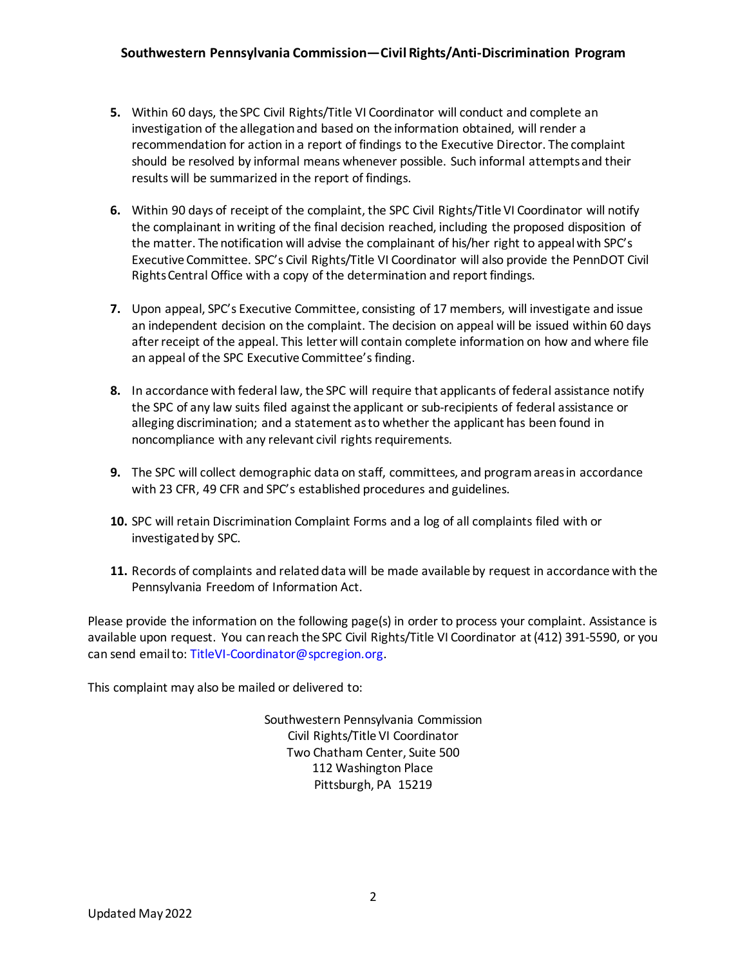- **5.** Within 60 days, the SPC Civil Rights/Title VI Coordinator will conduct and complete an investigation of the allegation and based on the information obtained, will render a recommendation for action in a report of findings to the Executive Director. The complaint should be resolved by informal means whenever possible. Such informal attempts and their results will be summarized in the report of findings.
- **6.** Within 90 days of receipt of the complaint, the SPC Civil Rights/Title VI Coordinator will notify the complainant in writing of the final decision reached, including the proposed disposition of the matter. The notification will advise the complainant of his/her right to appeal with SPC's Executive Committee. SPC's Civil Rights/Title VI Coordinator will also provide the PennDOT Civil Rights Central Office with a copy of the determination and report findings.
- **7.** Upon appeal, SPC's Executive Committee, consisting of 17 members, will investigate and issue an independent decision on the complaint. The decision on appeal will be issued within 60 days after receipt of the appeal. This letter will contain complete information on how and where file an appeal of the SPC Executive Committee's finding.
- **8.** In accordance with federal law, the SPC will require that applicants of federal assistance notify the SPC of any law suits filed against the applicant or sub-recipients of federal assistance or alleging discrimination; and a statement as to whether the applicant has been found in noncompliance with any relevant civil rights requirements.
- **9.** The SPC will collect demographic data on staff, committees, and program areas in accordance with 23 CFR, 49 CFR and SPC's established procedures and guidelines.
- **10.** SPC will retain Discrimination Complaint Forms and a log of all complaints filed with or investigated by SPC.
- **11.** Records of complaints and related data will be made available by request in accordance with the Pennsylvania Freedom of Information Act.

Please provide the information on the following page(s) in order to process your complaint. Assistance is available upon request. You can reach the SPC Civil Rights/Title VI Coordinator at (412) 391-5590, or you can send email to: TitleVI-Coordinator@spcregion.org.

This complaint may also be mailed or delivered to:

Southwestern Pennsylvania Commission Civil Rights/Title VI Coordinator Two Chatham Center, Suite 500 112 Washington Place Pittsburgh, PA 15219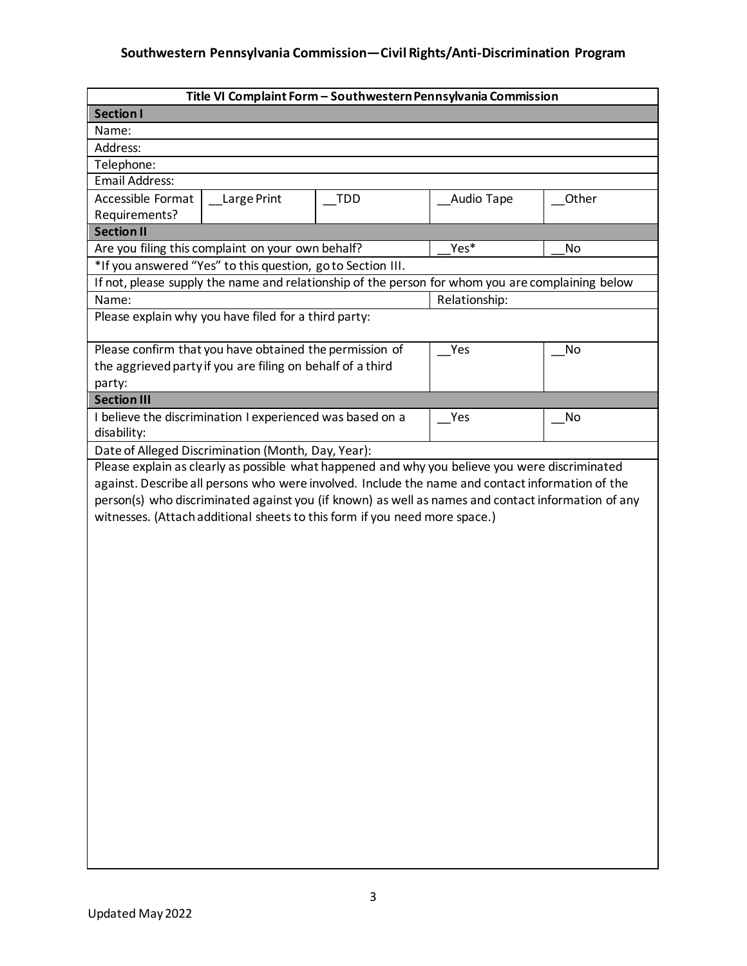## **Southwestern Pennsylvania Commission—Civil Rights/Anti-Discrimination Program**

| Title VI Complaint Form - Southwestern Pennsylvania Commission                                     |                                                                                                  |               |            |       |  |  |  |  |
|----------------------------------------------------------------------------------------------------|--------------------------------------------------------------------------------------------------|---------------|------------|-------|--|--|--|--|
| <b>Section I</b>                                                                                   |                                                                                                  |               |            |       |  |  |  |  |
| Name:                                                                                              |                                                                                                  |               |            |       |  |  |  |  |
| Address:                                                                                           |                                                                                                  |               |            |       |  |  |  |  |
| Telephone:                                                                                         |                                                                                                  |               |            |       |  |  |  |  |
| Email Address:                                                                                     |                                                                                                  |               |            |       |  |  |  |  |
| Accessible Format                                                                                  | Large Print                                                                                      | <b>TDD</b>    | Audio Tape | Other |  |  |  |  |
| Requirements?                                                                                      |                                                                                                  |               |            |       |  |  |  |  |
| <b>Section II</b>                                                                                  |                                                                                                  |               |            |       |  |  |  |  |
|                                                                                                    | Are you filing this complaint on your own behalf?<br>Yes*<br>No                                  |               |            |       |  |  |  |  |
|                                                                                                    | *If you answered "Yes" to this question, go to Section III.                                      |               |            |       |  |  |  |  |
|                                                                                                    | If not, please supply the name and relationship of the person for whom you are complaining below |               |            |       |  |  |  |  |
| Name:                                                                                              |                                                                                                  | Relationship: |            |       |  |  |  |  |
|                                                                                                    | Please explain why you have filed for a third party:                                             |               |            |       |  |  |  |  |
|                                                                                                    |                                                                                                  |               |            |       |  |  |  |  |
|                                                                                                    | Please confirm that you have obtained the permission of                                          |               | Yes        | No    |  |  |  |  |
|                                                                                                    | the aggrieved party if you are filing on behalf of a third                                       |               |            |       |  |  |  |  |
| party:                                                                                             |                                                                                                  |               |            |       |  |  |  |  |
| <b>Section III</b>                                                                                 |                                                                                                  |               |            |       |  |  |  |  |
|                                                                                                    | I believe the discrimination I experienced was based on a                                        |               | Yes        | No    |  |  |  |  |
| disability:                                                                                        |                                                                                                  |               |            |       |  |  |  |  |
|                                                                                                    | Date of Alleged Discrimination (Month, Day, Year):                                               |               |            |       |  |  |  |  |
|                                                                                                    | Please explain as clearly as possible what happened and why you believe you were discriminated   |               |            |       |  |  |  |  |
|                                                                                                    | against. Describe all persons who were involved. Include the name and contact information of the |               |            |       |  |  |  |  |
| person(s) who discriminated against you (if known) as well as names and contact information of any |                                                                                                  |               |            |       |  |  |  |  |
|                                                                                                    | witnesses. (Attach additional sheets to this form if you need more space.)                       |               |            |       |  |  |  |  |
|                                                                                                    |                                                                                                  |               |            |       |  |  |  |  |
|                                                                                                    |                                                                                                  |               |            |       |  |  |  |  |
|                                                                                                    |                                                                                                  |               |            |       |  |  |  |  |
|                                                                                                    |                                                                                                  |               |            |       |  |  |  |  |
|                                                                                                    |                                                                                                  |               |            |       |  |  |  |  |
|                                                                                                    |                                                                                                  |               |            |       |  |  |  |  |
|                                                                                                    |                                                                                                  |               |            |       |  |  |  |  |
|                                                                                                    |                                                                                                  |               |            |       |  |  |  |  |
|                                                                                                    |                                                                                                  |               |            |       |  |  |  |  |
|                                                                                                    |                                                                                                  |               |            |       |  |  |  |  |
|                                                                                                    |                                                                                                  |               |            |       |  |  |  |  |
|                                                                                                    |                                                                                                  |               |            |       |  |  |  |  |
|                                                                                                    |                                                                                                  |               |            |       |  |  |  |  |
|                                                                                                    |                                                                                                  |               |            |       |  |  |  |  |
|                                                                                                    |                                                                                                  |               |            |       |  |  |  |  |
|                                                                                                    |                                                                                                  |               |            |       |  |  |  |  |
|                                                                                                    |                                                                                                  |               |            |       |  |  |  |  |
|                                                                                                    |                                                                                                  |               |            |       |  |  |  |  |
|                                                                                                    |                                                                                                  |               |            |       |  |  |  |  |
|                                                                                                    |                                                                                                  |               |            |       |  |  |  |  |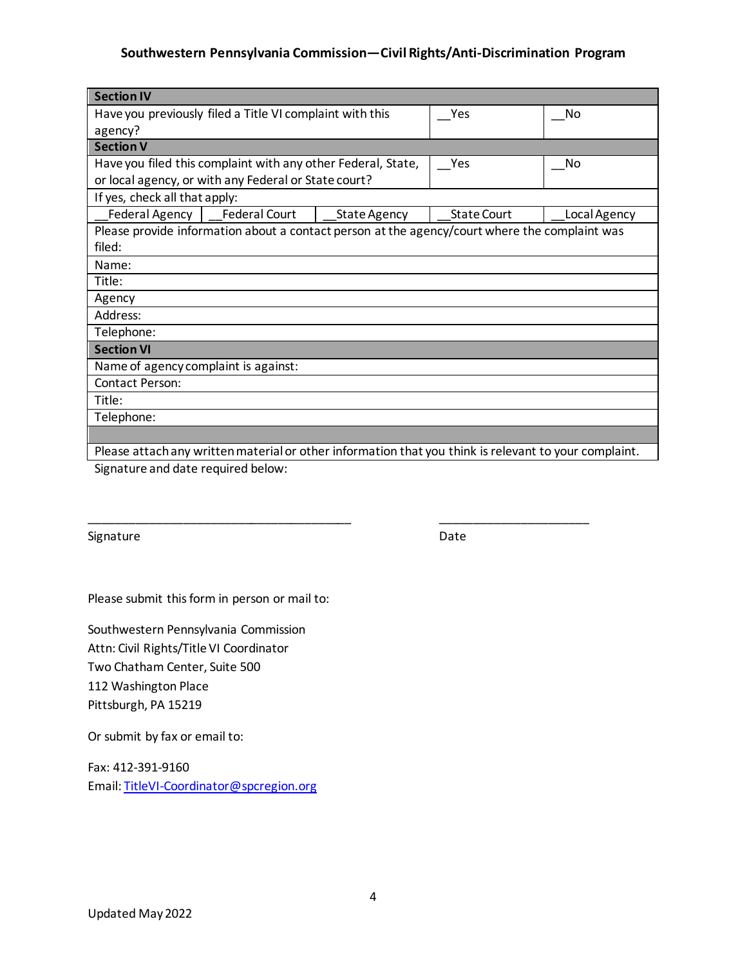## **Southwestern Pennsylvania Commission—Civil Rights/Anti-Discrimination Program**

| <b>Section IV</b>                                                                                     |  |                     |                    |              |  |  |  |
|-------------------------------------------------------------------------------------------------------|--|---------------------|--------------------|--------------|--|--|--|
| Have you previously filed a Title VI complaint with this                                              |  |                     | Yes                | No           |  |  |  |
| agency?                                                                                               |  |                     |                    |              |  |  |  |
| <b>Section V</b>                                                                                      |  |                     |                    |              |  |  |  |
| Have you filed this complaint with any other Federal, State,                                          |  | Yes                 | No                 |              |  |  |  |
| or local agency, or with any Federal or State court?                                                  |  |                     |                    |              |  |  |  |
| If yes, check all that apply:                                                                         |  |                     |                    |              |  |  |  |
| Federal Agency   Federal Court                                                                        |  | <b>State Agency</b> | <b>State Court</b> | Local Agency |  |  |  |
| Please provide information about a contact person at the agency/court where the complaint was         |  |                     |                    |              |  |  |  |
| filed:                                                                                                |  |                     |                    |              |  |  |  |
| Name:                                                                                                 |  |                     |                    |              |  |  |  |
| Title:                                                                                                |  |                     |                    |              |  |  |  |
| Agency                                                                                                |  |                     |                    |              |  |  |  |
| Address:                                                                                              |  |                     |                    |              |  |  |  |
| Telephone:                                                                                            |  |                     |                    |              |  |  |  |
| <b>Section VI</b>                                                                                     |  |                     |                    |              |  |  |  |
| Name of agency complaint is against:                                                                  |  |                     |                    |              |  |  |  |
| Contact Person:                                                                                       |  |                     |                    |              |  |  |  |
| Title:                                                                                                |  |                     |                    |              |  |  |  |
| Telephone:                                                                                            |  |                     |                    |              |  |  |  |
|                                                                                                       |  |                     |                    |              |  |  |  |
| Please attach any written material or other information that you think is relevant to your complaint. |  |                     |                    |              |  |  |  |

\_\_\_\_\_\_\_\_\_\_\_\_\_\_\_\_\_\_\_\_\_\_\_\_\_\_\_\_\_\_\_\_\_\_\_\_\_\_\_ \_\_\_\_\_\_\_\_\_\_\_\_\_\_\_\_\_\_\_\_\_\_

Signature and date required below:

Signature Date Date Date

Please submit this form in person or mail to:

Southwestern Pennsylvania Commission Attn: Civil Rights/Title VI Coordinator Two Chatham Center, Suite 500 112 Washington Place Pittsburgh, PA 15219

Or submit by fax or email to:

Fax: 412-391-9160 Email: [TitleVI-Coordinator@spcregion.org](mailto:TitleVI-Coordinator@spcregion.org)